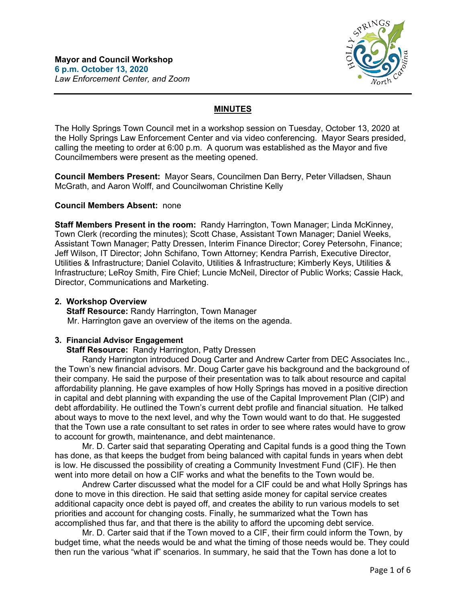

# **MINUTES**

The Holly Springs Town Council met in a workshop session on Tuesday, October 13, 2020 at the Holly Springs Law Enforcement Center and via video conferencing. Mayor Sears presided, calling the meeting to order at 6:00 p.m. A quorum was established as the Mayor and five Councilmembers were present as the meeting opened.

**Council Members Present:** Mayor Sears, Councilmen Dan Berry, Peter Villadsen, Shaun McGrath, and Aaron Wolff, and Councilwoman Christine Kelly

# **Council Members Absent:** none

**Staff Members Present in the room:** Randy Harrington, Town Manager; Linda McKinney, Town Clerk (recording the minutes); Scott Chase, Assistant Town Manager; Daniel Weeks, Assistant Town Manager; Patty Dressen, Interim Finance Director; Corey Petersohn, Finance; Jeff Wilson, IT Director; John Schifano, Town Attorney; Kendra Parrish, Executive Director, Utilities & Infrastructure; Daniel Colavito, Utilities & Infrastructure; Kimberly Keys, Utilities & Infrastructure; LeRoy Smith, Fire Chief; Luncie McNeil, Director of Public Works; Cassie Hack, Director, Communications and Marketing.

# **2. Workshop Overview**

 **Staff Resource:** Randy Harrington, Town Manager Mr. Harrington gave an overview of the items on the agenda.

## **3. Financial Advisor Engagement**

 **Staff Resource:** Randy Harrington, Patty Dressen

Randy Harrington introduced Doug Carter and Andrew Carter from DEC Associates Inc., the Town's new financial advisors. Mr. Doug Carter gave his background and the background of their company. He said the purpose of their presentation was to talk about resource and capital affordability planning. He gave examples of how Holly Springs has moved in a positive direction in capital and debt planning with expanding the use of the Capital Improvement Plan (CIP) and debt affordability. He outlined the Town's current debt profile and financial situation. He talked about ways to move to the next level, and why the Town would want to do that. He suggested that the Town use a rate consultant to set rates in order to see where rates would have to grow to account for growth, maintenance, and debt maintenance.

Mr. D. Carter said that separating Operating and Capital funds is a good thing the Town has done, as that keeps the budget from being balanced with capital funds in years when debt is low. He discussed the possibility of creating a Community Investment Fund (CIF). He then went into more detail on how a CIF works and what the benefits to the Town would be.

Andrew Carter discussed what the model for a CIF could be and what Holly Springs has done to move in this direction. He said that setting aside money for capital service creates additional capacity once debt is payed off, and creates the ability to run various models to set priorities and account for changing costs. Finally, he summarized what the Town has accomplished thus far, and that there is the ability to afford the upcoming debt service.

Mr. D. Carter said that if the Town moved to a CIF, their firm could inform the Town, by budget time, what the needs would be and what the timing of those needs would be. They could then run the various "what if" scenarios. In summary, he said that the Town has done a lot to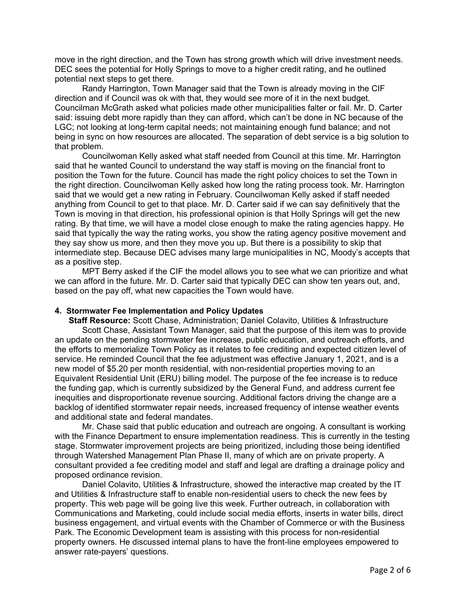move in the right direction, and the Town has strong growth which will drive investment needs. DEC sees the potential for Holly Springs to move to a higher credit rating, and he outlined potential next steps to get there.

Randy Harrington, Town Manager said that the Town is already moving in the CIF direction and if Council was ok with that, they would see more of it in the next budget. Councilman McGrath asked what policies made other municipalities falter or fail. Mr. D. Carter said: issuing debt more rapidly than they can afford, which can't be done in NC because of the LGC; not looking at long-term capital needs; not maintaining enough fund balance; and not being in sync on how resources are allocated. The separation of debt service is a big solution to that problem.

Councilwoman Kelly asked what staff needed from Council at this time. Mr. Harrington said that he wanted Council to understand the way staff is moving on the financial front to position the Town for the future. Council has made the right policy choices to set the Town in the right direction. Councilwoman Kelly asked how long the rating process took. Mr. Harrington said that we would get a new rating in February. Councilwoman Kelly asked if staff needed anything from Council to get to that place. Mr. D. Carter said if we can say definitively that the Town is moving in that direction, his professional opinion is that Holly Springs will get the new rating. By that time, we will have a model close enough to make the rating agencies happy. He said that typically the way the rating works, you show the rating agency positive movement and they say show us more, and then they move you up. But there is a possibility to skip that intermediate step. Because DEC advises many large municipalities in NC, Moody's accepts that as a positive step.

MPT Berry asked if the CIF the model allows you to see what we can prioritize and what we can afford in the future. Mr. D. Carter said that typically DEC can show ten years out, and, based on the pay off, what new capacities the Town would have.

#### **4. Stormwater Fee Implementation and Policy Updates**

 **Staff Resource:** Scott Chase, Administration; Daniel Colavito, Utilities & Infrastructure Scott Chase, Assistant Town Manager, said that the purpose of this item was to provide an update on the pending stormwater fee increase, public education, and outreach efforts, and the efforts to memorialize Town Policy as it relates to fee crediting and expected citizen level of service. He reminded Council that the fee adjustment was effective January 1, 2021, and is a new model of \$5.20 per month residential, with non-residential properties moving to an Equivalent Residential Unit (ERU) billing model. The purpose of the fee increase is to reduce the funding gap, which is currently subsidized by the General Fund, and address current fee inequities and disproportionate revenue sourcing. Additional factors driving the change are a backlog of identified stormwater repair needs, increased frequency of intense weather events and additional state and federal mandates.

Mr. Chase said that public education and outreach are ongoing. A consultant is working with the Finance Department to ensure implementation readiness. This is currently in the testing stage. Stormwater improvement projects are being prioritized, including those being identified through Watershed Management Plan Phase II, many of which are on private property. A consultant provided a fee crediting model and staff and legal are drafting a drainage policy and proposed ordinance revision.

Daniel Colavito, Utilities & Infrastructure, showed the interactive map created by the IT and Utilities & Infrastructure staff to enable non-residential users to check the new fees by property. This web page will be going live this week. Further outreach, in collaboration with Communications and Marketing, could include social media efforts, inserts in water bills, direct business engagement, and virtual events with the Chamber of Commerce or with the Business Park. The Economic Development team is assisting with this process for non-residential property owners. He discussed internal plans to have the front-line employees empowered to answer rate-payers' questions.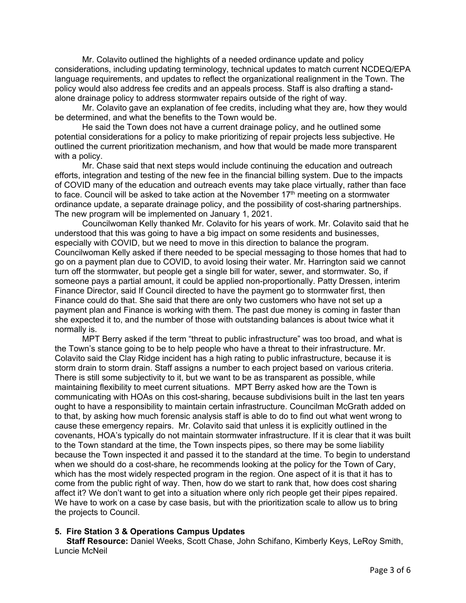Mr. Colavito outlined the highlights of a needed ordinance update and policy considerations, including updating terminology, technical updates to match current NCDEQ/EPA language requirements, and updates to reflect the organizational realignment in the Town. The policy would also address fee credits and an appeals process. Staff is also drafting a standalone drainage policy to address stormwater repairs outside of the right of way.

Mr. Colavito gave an explanation of fee credits, including what they are, how they would be determined, and what the benefits to the Town would be.

He said the Town does not have a current drainage policy, and he outlined some potential considerations for a policy to make prioritizing of repair projects less subjective. He outlined the current prioritization mechanism, and how that would be made more transparent with a policy.

Mr. Chase said that next steps would include continuing the education and outreach efforts, integration and testing of the new fee in the financial billing system. Due to the impacts of COVID many of the education and outreach events may take place virtually, rather than face to face. Council will be asked to take action at the November 17<sup>th</sup> meeting on a stormwater ordinance update, a separate drainage policy, and the possibility of cost-sharing partnerships. The new program will be implemented on January 1, 2021.

Councilwoman Kelly thanked Mr. Colavito for his years of work. Mr. Colavito said that he understood that this was going to have a big impact on some residents and businesses, especially with COVID, but we need to move in this direction to balance the program. Councilwoman Kelly asked if there needed to be special messaging to those homes that had to go on a payment plan due to COVID, to avoid losing their water. Mr. Harrington said we cannot turn off the stormwater, but people get a single bill for water, sewer, and stormwater. So, if someone pays a partial amount, it could be applied non-proportionally. Patty Dressen, interim Finance Director, said If Council directed to have the payment go to stormwater first, then Finance could do that. She said that there are only two customers who have not set up a payment plan and Finance is working with them. The past due money is coming in faster than she expected it to, and the number of those with outstanding balances is about twice what it normally is.

MPT Berry asked if the term "threat to public infrastructure" was too broad, and what is the Town's stance going to be to help people who have a threat to their infrastructure. Mr. Colavito said the Clay Ridge incident has a high rating to public infrastructure, because it is storm drain to storm drain. Staff assigns a number to each project based on various criteria. There is still some subjectivity to it, but we want to be as transparent as possible, while maintaining flexibility to meet current situations. MPT Berry asked how are the Town is communicating with HOAs on this cost-sharing, because subdivisions built in the last ten years ought to have a responsibility to maintain certain infrastructure. Councilman McGrath added on to that, by asking how much forensic analysis staff is able to do to find out what went wrong to cause these emergency repairs. Mr. Colavito said that unless it is explicitly outlined in the covenants, HOA's typically do not maintain stormwater infrastructure. If it is clear that it was built to the Town standard at the time, the Town inspects pipes, so there may be some liability because the Town inspected it and passed it to the standard at the time. To begin to understand when we should do a cost-share, he recommends looking at the policy for the Town of Cary, which has the most widely respected program in the region. One aspect of it is that it has to come from the public right of way. Then, how do we start to rank that, how does cost sharing affect it? We don't want to get into a situation where only rich people get their pipes repaired. We have to work on a case by case basis, but with the prioritization scale to allow us to bring the projects to Council.

## **5. Fire Station 3 & Operations Campus Updates**

 **Staff Resource:** Daniel Weeks, Scott Chase, John Schifano, Kimberly Keys, LeRoy Smith, Luncie McNeil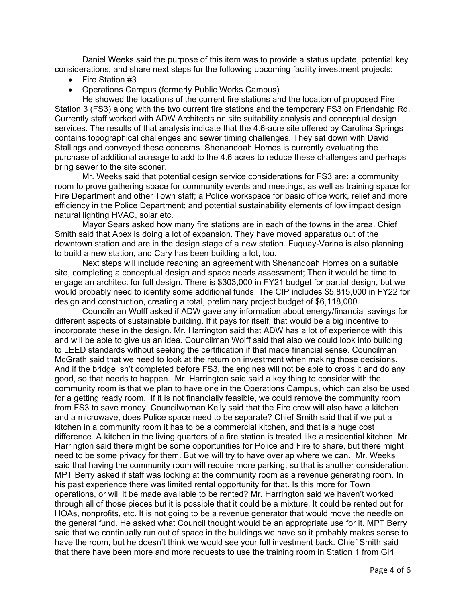Daniel Weeks said the purpose of this item was to provide a status update, potential key considerations, and share next steps for the following upcoming facility investment projects:

- Fire Station #3
- Operations Campus (formerly Public Works Campus)

He showed the locations of the current fire stations and the location of proposed Fire Station 3 (FS3) along with the two current fire stations and the temporary FS3 on Friendship Rd. Currently staff worked with ADW Architects on site suitability analysis and conceptual design services. The results of that analysis indicate that the 4.6-acre site offered by Carolina Springs contains topographical challenges and sewer timing challenges. They sat down with David Stallings and conveyed these concerns. Shenandoah Homes is currently evaluating the purchase of additional acreage to add to the 4.6 acres to reduce these challenges and perhaps bring sewer to the site sooner.

Mr. Weeks said that potential design service considerations for FS3 are: a community room to prove gathering space for community events and meetings, as well as training space for Fire Department and other Town staff; a Police workspace for basic office work, relief and more efficiency in the Police Department; and potential sustainability elements of low impact design natural lighting HVAC, solar etc.

Mayor Sears asked how many fire stations are in each of the towns in the area. Chief Smith said that Apex is doing a lot of expansion. They have moved apparatus out of the downtown station and are in the design stage of a new station. Fuquay-Varina is also planning to build a new station, and Cary has been building a lot, too.

Next steps will include reaching an agreement with Shenandoah Homes on a suitable site, completing a conceptual design and space needs assessment; Then it would be time to engage an architect for full design. There is \$303,000 in FY21 budget for partial design, but we would probably need to identify some additional funds. The CIP includes \$5,815,000 in FY22 for design and construction, creating a total, preliminary project budget of \$6,118,000.

Councilman Wolff asked if ADW gave any information about energy/financial savings for different aspects of sustainable building. If it pays for itself, that would be a big incentive to incorporate these in the design. Mr. Harrington said that ADW has a lot of experience with this and will be able to give us an idea. Councilman Wolff said that also we could look into building to LEED standards without seeking the certification if that made financial sense. Councilman McGrath said that we need to look at the return on investment when making those decisions. And if the bridge isn't completed before FS3, the engines will not be able to cross it and do any good, so that needs to happen. Mr. Harrington said said a key thing to consider with the community room is that we plan to have one in the Operations Campus, which can also be used for a getting ready room. If it is not financially feasible, we could remove the community room from FS3 to save money. Councilwoman Kelly said that the Fire crew will also have a kitchen and a microwave, does Police space need to be separate? Chief Smith said that if we put a kitchen in a community room it has to be a commercial kitchen, and that is a huge cost difference. A kitchen in the living quarters of a fire station is treated like a residential kitchen. Mr. Harrington said there might be some opportunities for Police and Fire to share, but there might need to be some privacy for them. But we will try to have overlap where we can. Mr. Weeks said that having the community room will require more parking, so that is another consideration. MPT Berry asked if staff was looking at the community room as a revenue generating room. In his past experience there was limited rental opportunity for that. Is this more for Town operations, or will it be made available to be rented? Mr. Harrington said we haven't worked through all of those pieces but it is possible that it could be a mixture. It could be rented out for HOAs, nonprofits, etc. It is not going to be a revenue generator that would move the needle on the general fund. He asked what Council thought would be an appropriate use for it. MPT Berry said that we continually run out of space in the buildings we have so it probably makes sense to have the room, but he doesn't think we would see your full investment back. Chief Smith said that there have been more and more requests to use the training room in Station 1 from Girl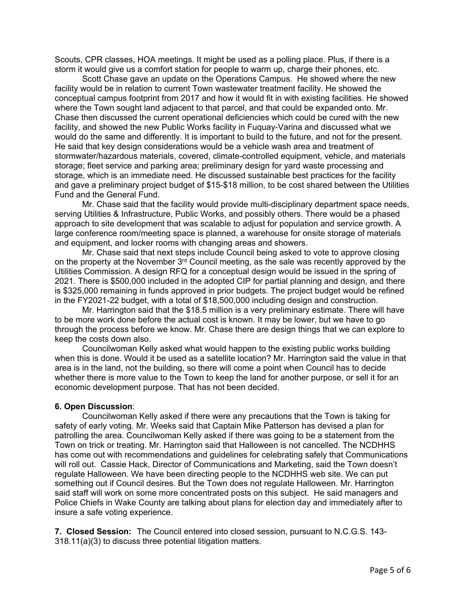Scouts, CPR classes, HOA meetings. It might be used as a polling place. Plus, if there is a storm it would give us a comfort station for people to warm up, charge their phones, etc.

Scott Chase gave an update on the Operations Campus. He showed where the new facility would be in relation to current Town wastewater treatment facility. He showed the conceptual campus footprint from 2017 and how it would fit in with existing facilities. He showed where the Town sought land adjacent to that parcel, and that could be expanded onto. Mr. Chase then discussed the current operational deficiencies which could be cured with the new facility, and showed the new Public Works facility in Fuquay-Varina and discussed what we would do the same and differently. It is important to build to the future, and not for the present. He said that key design considerations would be a vehicle wash area and treatment of stormwater/hazardous materials, covered, climate-controlled equipment, vehicle, and materials storage; fleet service and parking area; preliminary design for yard waste processing and storage, which is an immediate need. He discussed sustainable best practices for the facility and gave a preliminary project budget of \$15-\$18 million, to be cost shared between the Utilities Fund and the General Fund.

Mr. Chase said that the facility would provide multi-disciplinary department space needs, serving Utilities & Infrastructure, Public Works, and possibly others. There would be a phased approach to site development that was scalable to adjust for population and service growth. A large conference room/meeting space is planned, a warehouse for onsite storage of materials and equipment, and locker rooms with changing areas and showers.

Mr. Chase said that next steps include Council being asked to vote to approve closing on the property at the November 3<sup>rd</sup> Council meeting, as the sale was recently approved by the Utilities Commission. A design RFQ for a conceptual design would be issued in the spring of 2021. There is \$500,000 included in the adopted CIP for partial planning and design, and there is \$325,000 remaining in funds approved in prior budgets. The project budget would be refined in the FY2021-22 budget, with a total of \$18,500,000 including design and construction.

Mr. Harrington said that the \$18.5 million is a very preliminary estimate. There will have to be more work done before the actual cost is known. It may be lower, but we have to go through the process before we know. Mr. Chase there are design things that we can explore to keep the costs down also.

Councilwoman Kelly asked what would happen to the existing public works building when this is done. Would it be used as a satellite location? Mr. Harrington said the value in that area is in the land, not the building, so there will come a point when Council has to decide whether there is more value to the Town to keep the land for another purpose, or sell it for an economic development purpose. That has not been decided.

#### **6. Open Discussion**:

Councilwoman Kelly asked if there were any precautions that the Town is taking for safety of early voting. Mr. Weeks said that Captain Mike Patterson has devised a plan for patrolling the area. Councilwoman Kelly asked if there was going to be a statement from the Town on trick or treating. Mr. Harrington said that Halloween is not cancelled. The NCDHHS has come out with recommendations and guidelines for celebrating safely that Communications will roll out. Cassie Hack, Director of Communications and Marketing, said the Town doesn't regulate Halloween. We have been directing people to the NCDHHS web site. We can put something out if Council desires. But the Town does not regulate Halloween. Mr. Harrington said staff will work on some more concentrated posts on this subject. He said managers and Police Chiefs in Wake County are talking about plans for election day and immediately after to insure a safe voting experience.

**7. Closed Session:** The Council entered into closed session, pursuant to N.C.G.S. 143- 318.11(a)(3) to discuss three potential litigation matters.